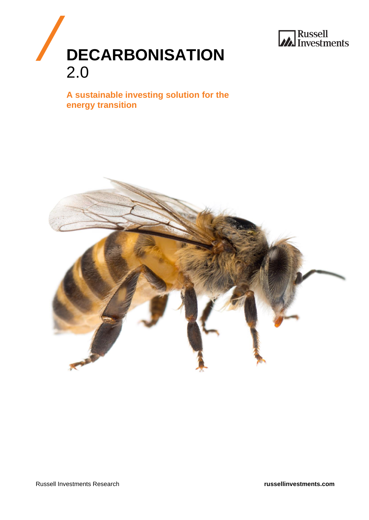



**A sustainable investing solution for the energy transition**

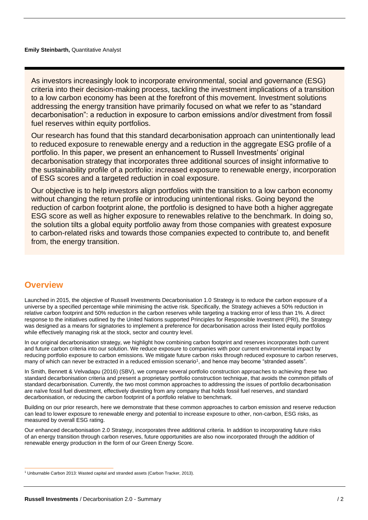As investors increasingly look to incorporate environmental, social and governance (ESG) criteria into their decision-making process, tackling the investment implications of a transition to a low carbon economy has been at the forefront of this movement. Investment solutions addressing the energy transition have primarily focused on what we refer to as "standard decarbonisation": a reduction in exposure to carbon emissions and/or divestment from fossil fuel reserves within equity portfolios.

Our research has found that this standard decarbonisation approach can unintentionally lead to reduced exposure to renewable energy and a reduction in the aggregate ESG profile of a portfolio. In this paper, we present an enhancement to Russell Investments' original decarbonisation strategy that incorporates three additional sources of insight informative to the sustainability profile of a portfolio: increased exposure to renewable energy, incorporation of ESG scores and a targeted reduction in coal exposure.

Our objective is to help investors align portfolios with the transition to a low carbon economy without changing the return profile or introducing unintentional risks. Going beyond the reduction of carbon footprint alone, the portfolio is designed to have both a higher aggregate ESG score as well as higher exposure to renewables relative to the benchmark. In doing so, the solution tilts a global equity portfolio away from those companies with greatest exposure to carbon-related risks and towards those companies expected to contribute to, and benefit from, the energy transition.

## **Overview**

Launched in 2015, the objective of Russell Investments Decarbonisation 1.0 Strategy is to reduce the carbon exposure of a universe by a specified percentage while minimising the active risk. Specifically, the Strategy achieves a 50% reduction in relative carbon footprint and 50% reduction in the carbon reserves while targeting a tracking error of less than 1%. A direct response to the initiatives outlined by the United Nations supported Principles for Responsible Investment (PRI), the Strategy was designed as a means for signatories to implement a preference for decarbonisation across their listed equity portfolios while effectively managing risk at the stock, sector and country level.

In our original decarbonisation strategy, we highlight how combining carbon footprint and reserves incorporates both current and future carbon criteria into our solution. We reduce exposure to companies with poor current environmental impact by reducing portfolio exposure to carbon emissions. We mitigate future carbon risks through reduced exposure to carbon reserves, many of which can never be extracted in a reduced emission scenario<sup>1</sup>, and hence may become "stranded assets".

In Smith, Bennett & Velvadapu (2016) (SBV), we compare several portfolio construction approaches to achieving these two standard decarbonisation criteria and present a proprietary portfolio construction technique, that avoids the common pitfalls of standard decarbonisation. Currently, the two most common approaches to addressing the issues of portfolio decarbonisation are naïve fossil fuel divestment, effectively divesting from any company that holds fossil fuel reserves, and standard decarbonisation, or reducing the carbon footprint of a portfolio relative to benchmark.

Building on our prior research, here we demonstrate that these common approaches to carbon emission and reserve reduction can lead to lower exposure to renewable energy and potential to increase exposure to other, non-carbon, ESG risks, as measured by overall ESG rating.

Our enhanced decarbonisation 2.0 Strategy, incorporates three additional criteria. In addition to incorporating future risks of an energy transition through carbon reserves, future opportunities are also now incorporated through the addition of renewable energy production in the form of our Green Energy Score.

<sup>1</sup> Unburnable Carbon 2013: Wasted capital and stranded assets (Carbon Tracker, 2013).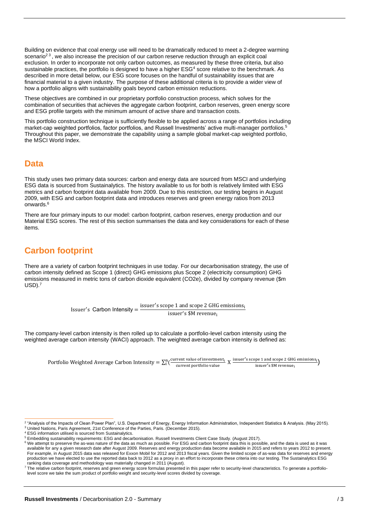Building on evidence that coal energy use will need to be dramatically reduced to meet a 2-degree warming scenario<sup>23</sup>, we also increase the precision of our carbon reserve reduction through an explicit coal exclusion. In order to incorporate not only carbon outcomes, as measured by these three criteria, but also sustainable practices, the portfolio is designed to have a higher ESG<sup>4</sup> score relative to the benchmark. As described in more detail below, our ESG score focuses on the handful of sustainability issues that are financial material to a given industry. The purpose of these additional criteria is to provide a wider view of how a portfolio aligns with sustainability goals beyond carbon emission reductions.

These objectives are combined in our proprietary portfolio construction process, which solves for the combination of securities that achieves the aggregate carbon footprint, carbon reserves, green energy score and ESG profile targets with the minimum amount of active share and transaction costs.

This portfolio construction technique is sufficiently flexible to be applied across a range of portfolios including market-cap weighted portfolios, factor portfolios, and Russell Investments' active multi-manager portfolios. 5 Throughout this paper, we demonstrate the capability using a sample global market-cap weighted portfolio, the MSCI World Index.

## **Data**

This study uses two primary data sources: carbon and energy data are sourced from MSCI and underlying ESG data is sourced from Sustainalytics. The history available to us for both is relatively limited with ESG metrics and carbon footprint data available from 2009. Due to this restriction, our testing begins in August 2009, with ESG and carbon footprint data and introduces reserves and green energy ratios from 2013 onwards.<sup>6</sup>

There are four primary inputs to our model: carbon footprint, carbon reserves, energy production and our Material ESG scores. The rest of this section summarises the data and key considerations for each of these items.

## **Carbon footprint**

There are a variety of carbon footprint techniques in use today. For our decarbonisation strategy, the use of carbon intensity defined as Scope 1 (direct) GHG emissions plus Scope 2 (electricity consumption) GHG emissions measured in metric tons of carbon dioxide equivalent (CO2e), divided by company revenue (\$m  $USD$ ).<sup>7</sup>

> Issuer's Carbon Intensity  $=$   $\frac{\text{issuer's scope 1 and scope 2 GHG emissions}}{\text{loss of M} \cdot \text{SVD}}$ issuer's \$M revenue<sub>i</sub>

The company-level carbon intensity is then rolled up to calculate a portfolio-level carbon intensity using the weighted average carbon intensity (WACI) approach. The weighted average carbon intensity is defined as:

Portfolio Weighted Average Carbon Intensity =  $\sum_{i=1}^{n} \frac{current \ value of investment}{current \ variance of (i) }$ current portfolio value  $\frac{n}{i}$  (current value of investment<sub>i</sub>)  $X = \frac{X}{i}$   $\frac{X}{i}$  issuer's scope 1 and scope 2 GHG emissions. pe 1 and scope 2 GHG emissions<sub>i</sub>)<br>issuer's \$M revenue<sub>i</sub>

<sup>&</sup>lt;sup>2</sup> "Analysis of the Impacts of Clean Power Plan", U.S. Department of Energy, Energy Information Administration, Independent Statistics & Analysis. (May 2015).<br><sup>3</sup> United Nations, Paris Agreement, 21st Conference of the Pa

**ESG information utilised is sourced from Sustainalytics.** 

<sup>5</sup> Embedding sustainability requirements: ESG and decarbonisation. Russell Investments Client Case Study. (August 2017).

<sup>&</sup>lt;sup>6</sup> We attempt to preserve the as-was nature of the data as much as possible. For ESG and carbon footprint data this is possible, and the data is used as it was available for any a given research date after August 2009. Reserves and energy production data become available in 2015 and refers to years 2012 to present. For example, in August 2015 data was released for Exxon Mobil for 2012 and 2013 fiscal years. Given the limited scope of as-was data for reserves and energy production we have elected to use the reported data back to 2012 as a proxy in an effort to incorporate these criteria into our testing. The Sustainalytics ESG ranking data coverage and methodology was materially changed in 2011 (August).

 $^7$  The relative carbon footprint, reserves and green energy score formulas presented in this paper refer to security-level characteristics. To generate a portfoliolevel score we take the sum product of portfolio weight and security-level scores divided by coverage.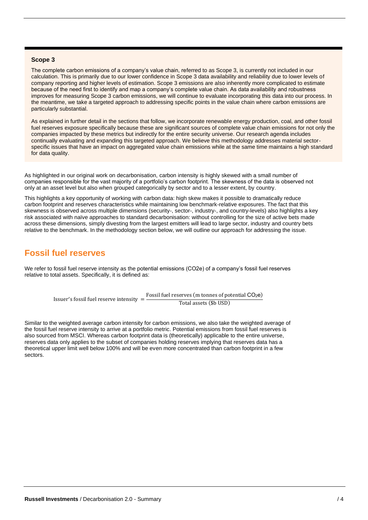#### **Scope 3**

The complete carbon emissions of a company's value chain, referred to as Scope 3, is currently not included in our calculation. This is primarily due to our lower confidence in Scope 3 data availability and reliability due to lower levels of company reporting and higher levels of estimation. Scope 3 emissions are also inherently more complicated to estimate because of the need first to identify and map a company's complete value chain. As data availability and robustness improves for measuring Scope 3 carbon emissions, we will continue to evaluate incorporating this data into our process. In the meantime, we take a targeted approach to addressing specific points in the value chain where carbon emissions are particularly substantial.

As explained in further detail in the sections that follow, we incorporate renewable energy production, coal, and other fossil fuel reserves exposure specifically because these are significant sources of complete value chain emissions for not only the companies impacted by these metrics but indirectly for the entire security universe. Our research agenda includes continually evaluating and expanding this targeted approach. We believe this methodology addresses material sectorspecific issues that have an impact on aggregated value chain emissions while at the same time maintains a high standard for data quality.

As highlighted in our original work on decarbonisation, carbon intensity is highly skewed with a small number of companies responsible for the vast majority of a portfolio's carbon footprint. The skewness of the data is observed not only at an asset level but also when grouped categorically by sector and to a lesser extent, by country.

This highlights a key opportunity of working with carbon data: high skew makes it possible to dramatically reduce carbon footprint and reserves characteristics while maintaining low benchmark-relative exposures. The fact that this skewness is observed across multiple dimensions (security-, sector-, industry-, and country-levels) also highlights a key risk associated with naïve approaches to standard decarbonisation: without controlling for the size of active bets made across these dimensions, simply divesting from the largest emitters will lead to large sector, industry and country bets relative to the benchmark. In the methodology section below, we will outline our approach for addressing the issue.

## **Fossil fuel reserves**

We refer to fossil fuel reserve intensity as the potential emissions (CO2e) of a company's fossil fuel reserves relative to total assets. Specifically, it is defined as:

> Issuer′ s fossil fuel reserve intensity = Fossil fuel reserves (m tonnes of potential  $CO<sub>2</sub>e$ ) Total assets (\$b USD)

Similar to the weighted average carbon intensity for carbon emissions, we also take the weighted average of the fossil fuel reserve intensity to arrive at a portfolio metric. Potential emissions from fossil fuel reserves is also sourced from MSCI. Whereas carbon footprint data is (theoretically) applicable to the entire universe, reserves data only applies to the subset of companies holding reserves implying that reserves data has a theoretical upper limit well below 100% and will be even more concentrated than carbon footprint in a few sectors.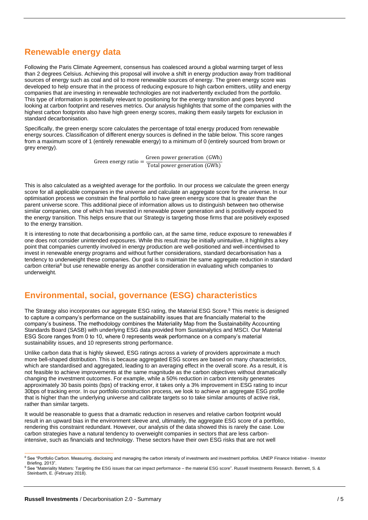## **Renewable energy data**

Following the Paris Climate Agreement, consensus has coalesced around a global warming target of less than 2 degrees Celsius. Achieving this proposal will involve a shift in energy production away from traditional sources of energy such as coal and oil to more renewable sources of energy. The green energy score was developed to help ensure that in the process of reducing exposure to high carbon emitters, utility and energy companies that are investing in renewable technologies are not inadvertently excluded from the portfolio. This type of information is potentially relevant to positioning for the energy transition and goes beyond looking at carbon footprint and reserves metrics. Our analysis highlights that some of the companies with the highest carbon footprints also have high green energy scores, making them easily targets for exclusion in standard decarbonisation.

Specifically, the green energy score calculates the percentage of total energy produced from renewable energy sources. Classification of different energy sources is defined in the table below. This score ranges from a maximum score of 1 (entirely renewable energy) to a minimum of 0 (entirely sourced from brown or arev energy).

> Green energy ratio =  $\frac{\text{Green power generation (GWh)}}{\text{Total power resolution (GWh)}}$ Total power generation (GWh)

This is also calculated as a weighted average for the portfolio. In our process we calculate the green energy score for all applicable companies in the universe and calculate an aggregate score for the universe. In our optimisation process we constrain the final portfolio to have green energy score that is greater than the parent universe score. This additional piece of information allows us to distinguish between two otherwise similar companies, one of which has invested in renewable power generation and is positively exposed to the energy transition. This helps ensure that our Strategy is targeting those firms that are positively exposed to the energy transition.

It is interesting to note that decarbonising a portfolio can, at the same time, reduce exposure to renewables if one does not consider unintended exposures. While this result may be initially unintuitive, it highlights a key point that companies currently involved in energy production are well-positioned and well-incentivised to invest in renewable energy programs and without further considerations, standard decarbonisation has a tendency to underweight these companies. Our goal is to maintain the same aggregate reduction in standard carbon criteria<sup>8</sup> but use renewable energy as another consideration in evaluating which companies to underweight.

## **Environmental, social, governance (ESG) characteristics**

The Strategy also incorporates our aggregate ESG rating, the Material ESG Score. <sup>9</sup> This metric is designed to capture a company's performance on the sustainability issues that are financially material to the company's business. The methodology combines the Materiality Map from the Sustainability Accounting Standards Board (SASB) with underlying ESG data provided from Sustainalytics and MSCI. Our Material ESG Score ranges from 0 to 10, where 0 represents weak performance on a company's material sustainability issues, and 10 represents strong performance.

Unlike carbon data that is highly skewed, ESG ratings across a variety of providers approximate a much more bell-shaped distribution. This is because aggregated ESG scores are based on many characteristics, which are standardised and aggregated, leading to an averaging effect in the overall score. As a result, it is not feasible to achieve improvements at the same magnitude as the carbon objectives without dramatically changing the investment outcomes. For example, while a 50% reduction in carbon intensity generates approximately 30 basis points (bps) of tracking error, it takes only a 3% improvement in ESG rating to incur 30bps of tracking error. In our portfolio construction process, we look to achieve an aggregate ESG profile that is higher than the underlying universe and calibrate targets so to take similar amounts of active risk, rather than similar targets.

It would be reasonable to guess that a dramatic reduction in reserves and relative carbon footprint would result in an upward bias in the environment sleeve and, ultimately, the aggregate ESG score of a portfolio, rendering this constraint redundant. However, our analysis of the data showed this is rarely the case. Low carbon strategies have a natural tendency to overweight companies in sectors that are less carbonintensive, such as financials and technology. These sectors have their own ESG risks that are not well

<sup>&</sup>lt;sup>8</sup> See "Portfolio Carbon. Measuring, disclosing and managing the carbon intensity of investments and investment portfolios. UNEP Finance Initiative - Investor Briefing. 2013".

<sup>9</sup> See "Materiality Matters: Targeting the ESG issues that can impact performance – the material ESG score". Russell Investments Research. Bennett, S. & Steinbarth, E. (February 2018).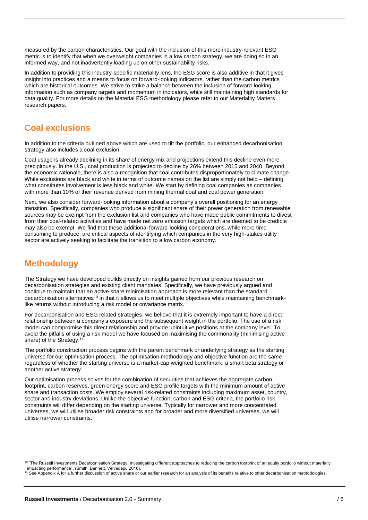measured by the carbon characteristics. Our goal with the inclusion of this more industry-relevant ESG metric is to identify that when we overweight companies in a low carbon strategy, we are doing so in an informed way, and not inadvertently loading up on other sustainability risks.

In addition to providing this industry-specific materiality lens, the ESG score is also additive in that it gives insight into practices and a means to focus on forward-looking indicators, rather than the carbon metrics which are historical outcomes. We strive to strike a balance between the inclusion of forward-looking information such as company targets and momentum in indicators, while still maintaining high standards for data quality. For more details on the Material ESG methodology please refer to our Materiality Matters research papers.

## **Coal exclusions**

In addition to the criteria outlined above which are used to tilt the portfolio, our enhanced decarbonisation strategy also includes a coal exclusion.

Coal usage is already declining in its share of energy mix and projections extend this decline even more precipitously. In the U.S., coal production is projected to decline by 26% between 2015 and 2040. Beyond the economic rationale, there is also a recognition that coal contributes disproportionately to climate change. While exclusions are black and white in terms of outcome names on the list are simply not held – defining what constitutes involvement is less black and white. We start by defining coal companies as companies with more than 10% of their revenue derived from mining thermal coal and coal power generation.

Next, we also consider forward-looking information about a company's overall positioning for an energy transition. Specifically, companies who produce a significant share of their power generation from renewable sources may be exempt from the exclusion list and companies who have made public commitments to divest from their coal-related activities and have made net zero emission targets which are deemed to be credible may also be exempt. We find that these additional forward-looking considerations, while more time consuming to produce, are critical aspects of identifying which companies in the very high-stakes utility sector are actively seeking to facilitate the transition to a low carbon economy.

# **Methodology**

The Strategy we have developed builds directly on insights gained from our previous research on decarbonisation strategies and existing client mandates. Specifically, we have previously argued and continue to maintain that an active share minimisation approach is more relevant than the standard decarbonisation alternatives<sup>10</sup> in that it allows us to meet multiple objectives while maintaining benchmarklike returns without introducing a risk model or covariance matrix.

For decarbonisation and ESG related strategies, we believe that it is extremely important to have a direct relationship between a company's exposure and the subsequent weight in the portfolio. The use of a risk model can compromise this direct relationship and provide unintuitive positions at the company level. To avoid the pitfalls of using a risk model we have focused on maximising the commonality (minimising active share) of the Strategy.<sup>11</sup>

The portfolio construction process begins with the parent benchmark or underlying strategy as the starting universe for our optimisation process. The optimisation methodology and objective function are the same regardless of whether the starting universe is a market-cap weighted benchmark, a smart beta strategy or another active strategy.

Our optimisation process solves for the combination of securities that achieves the aggregate carbon footprint, carbon reserves, green energy score and ESG profile targets with the minimum amount of active share and transaction costs. We employ several risk-related constraints including maximum asset, country, sector and industry deviations. Unlike the objective function, carbon and ESG criteria, the portfolio risk constraints will differ depending on the starting universe. Typically for narrower and more concentrated universes, we will utilise broader risk constraints and for broader and more diversified universes, we will utilise narrower constraints.

<sup>10 &</sup>quot;The Russell Investments Decarbonisation Strategy: Investigating different approaches to reducing the carbon footprint of an equity portfolio without materially impacting performance", (Smith, Bennett, Velvadapu 2016).

<sup>&</sup>lt;sup>11</sup> See Appendix A for a further discussion of active share or our earlier research for an analysis of its benefits relative to other decarbonisation methodologies.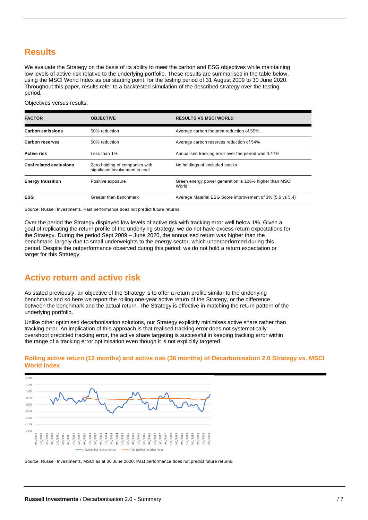## **Results**

We evaluate the Strategy on the basis of its ability to meet the carbon and ESG objectives while maintaining low levels of active risk relative to the underlying portfolio. These results are summarised in the table below, using the MSCI World Index as our starting point, for the testing period of 31 August 2009 to 30 June 2020. Throughout this paper, results refer to a backtested simulation of the described strategy over the testing period.

Objectives versus results:

| <b>FACTOR</b>            | <b>OBJECTIVE</b>                                                  | <b>RESULTS VS MSCI WORLD</b>                                    |
|--------------------------|-------------------------------------------------------------------|-----------------------------------------------------------------|
| <b>Carbon emissions</b>  | 50% reduction                                                     | Average carbon footprint reduction of 55%                       |
| <b>Carbon reserves</b>   | 50% reduction                                                     | Average carbon reserves reduction of 54%                        |
| <b>Active risk</b>       | Less than 1%                                                      | Annualised tracking error over the period was 0.47%             |
| Coal related exclusions  | Zero holding of companies with<br>significant involvement in coal | No holdings of excluded stocks                                  |
| <b>Energy transition</b> | Positive exposure                                                 | Green energy power generation is 106% higher than MSCI<br>World |
| <b>ESG</b>               | Greater than benchmark                                            | Average Material ESG Score improvement of 3% (5.6 vs 5.4)       |

Source: Russell Investments. Past performance does not predict future returns.

Over the period the Strategy displayed low levels of active risk with tracking error well below 1%. Given a goal of replicating the return profile of the underlying strategy, we do not have excess return expectations for the Strategy. During the period Sept 2009 – June 2020, the annualised return was higher than the benchmark, largely due to small underweights to the energy sector, which underperformed during this period. Despite the outperformance observed during this period, we do not hold a return expectation or target for this Strategy.

## **Active return and active risk**

As stated previously, an objective of the Strategy is to offer a return profile similar to the underlying benchmark and so here we report the rolling one-year active return of the Strategy, or the difference between the benchmark and the actual return. The Strategy is effective in matching the return pattern of the underlying portfolio.

Unlike other optimised decarbonisation solutions, our Strategy explicitly minimises active share rather than tracking error. An implication of this approach is that realised tracking error does not systematically overshoot predicted tracking error, the active share targeting is successful in keeping tracking error within the range of a tracking error optimisation even though it is not explicitly targeted.



#### **Rolling active return (12 months) and active risk (36 months) of Decarbonisation 2.0 Strategy vs. MSCI World Index**

Source: Russell Investments, MSCI as at 30 June 2020. Past performance does not predict future returns.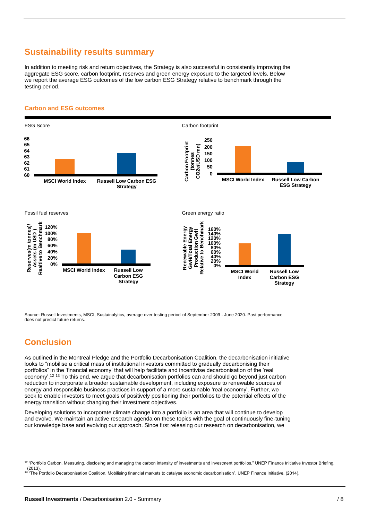# **Sustainability results summary**

In addition to meeting risk and return objectives, the Strategy is also successful in consistently improving the aggregate ESG score, carbon footprint, reserves and green energy exposure to the targeted levels. Below we report the average ESG outcomes of the low carbon ESG Strategy relative to benchmark through the testing period.

#### **Carbon and ESG outcomes**



Source: Russell Investments, MSCI, Sustainalytics, average over testing period of September 2009 - June 2020. Past performance does not predict future returns.

## **Conclusion**

As outlined in the Montreal Pledge and the Portfolio Decarbonisation Coalition, the decarbonisation initiative looks to "mobilise a critical mass of institutional investors committed to gradually decarbonising their portfolios" in the 'financial economy' that will help facilitate and incentivise decarbonisation of the 'real economy'.<sup>12 13</sup> To this end, we argue that decarbonisation portfolios can and should go beyond just carbon reduction to incorporate a broader sustainable development, including exposure to renewable sources of energy and responsible business practices in support of a more sustainable 'real economy'. Further, we seek to enable investors to meet goals of positively positioning their portfolios to the potential effects of the energy transition without changing their investment objectives.

Developing solutions to incorporate climate change into a portfolio is an area that will continue to develop and evolve. We maintain an active research agenda on these topics with the goal of continuously fine-tuning our knowledge base and evolving our approach. Since first releasing our research on decarbonisation, we

<sup>&</sup>lt;sup>12 "</sup>Portfolio Carbon. Measuring, disclosing and managing the carbon intensity of investments and investment portfolios." UNEP Finance Initiative Investor Briefing. (2013).

<sup>&</sup>lt;sup>13 "The Portfolio Decarbonisation Coalition, Mobilising financial markets to catalyse economic decarbonisation". UNEP Finance Initiative. (2014).</sup>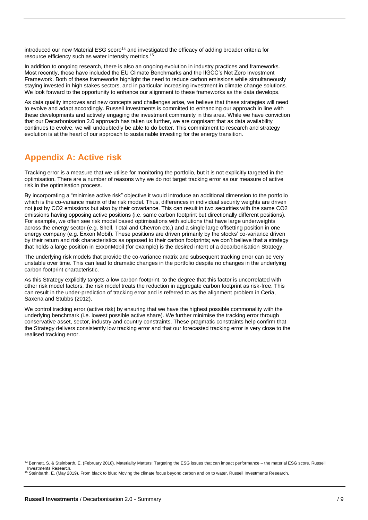introduced our new Material ESG score<sup>14</sup> and investigated the efficacy of adding broader criteria for resource efficiency such as water intensity metrics. 15

In addition to ongoing research, there is also an ongoing evolution in industry practices and frameworks. Most recently, these have included the EU Climate Benchmarks and the IIGCC's Net Zero Investment Framework. Both of these frameworks highlight the need to reduce carbon emissions while simultaneously staying invested in high stakes sectors, and in particular increasing investment in climate change solutions. We look forward to the opportunity to enhance our alignment to these frameworks as the data develops.

As data quality improves and new concepts and challenges arise, we believe that these strategies will need to evolve and adapt accordingly. Russell Investments is committed to enhancing our approach in line with these developments and actively engaging the investment community in this area. While we have conviction that our Decarbonisation 2.0 approach has taken us further, we are cognisant that as data availability continues to evolve, we will undoubtedly be able to do better. This commitment to research and strategy evolution is at the heart of our approach to sustainable investing for the energy transition.

# **Appendix A: Active risk**

Tracking error is a measure that we utilise for monitoring the portfolio, but it is not explicitly targeted in the optimisation. There are a number of reasons why we do not target tracking error as our measure of active risk in the optimisation process.

By incorporating a "minimise active risk" objective it would introduce an additional dimension to the portfolio which is the co-variance matrix of the risk model. Thus, differences in individual security weights are driven not just by CO2 emissions but also by their covariance. This can result in two securities with the same CO2 emissions having opposing active positions (i.e. same carbon footprint but directionally different positions). For example, we often see risk model based optimisations with solutions that have large underweights across the energy sector (e.g. Shell, Total and Chevron etc.) and a single large offsetting position in one energy company (e.g. Exxon Mobil). These positions are driven primarily by the stocks' co-variance driven by their return and risk characteristics as opposed to their carbon footprints; we don't believe that a strategy that holds a large position in ExxonMobil (for example) is the desired intent of a decarbonisation Strategy.

The underlying risk models that provide the co-variance matrix and subsequent tracking error can be very unstable over time. This can lead to dramatic changes in the portfolio despite no changes in the underlying carbon footprint characteristic.

As this Strategy explicitly targets a low carbon footprint, to the degree that this factor is uncorrelated with other risk model factors, the risk model treats the reduction in aggregate carbon footprint as risk-free. This can result in the under-prediction of tracking error and is referred to as the alignment problem in Ceria, Saxena and Stubbs (2012).

We control tracking error (active risk) by ensuring that we have the highest possible commonality with the underlying benchmark (i.e. lowest possible active share). We further minimise the tracking error through conservative asset, sector, industry and country constraints. These pragmatic constraints help confirm that the Strategy delivers consistently low tracking error and that our forecasted tracking error is very close to the realised tracking error.

<sup>14</sup> Bennett, S. & Steinbarth, E. (February 2018). Materiality Matters: Targeting the ESG issues that can impact performance – the material ESG score. Russell Investments Research. <sup>15</sup> Steinbarth, E. (May 2019). From black to blue: Moving the climate focus beyond carbon and on to water. Russell Investments Research.